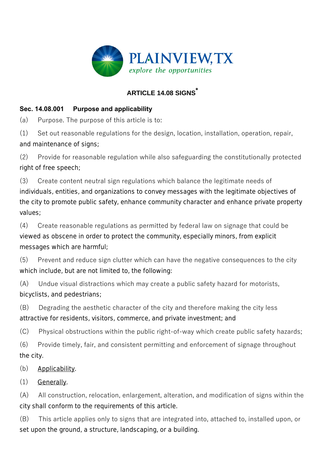

# **ARTICLE 14.08 SIGNS \***

## **Sec. 14.08.001 Purpose and applicability**

(a) Purpose. The purpose of this article is to:

(1) Set out reasonable regulations for the design, location, installation, operation, repair, and maintenance of signs;

(2) Provide for reasonable regulation while also safeguarding the constitutionally protected right of free speech;

(3) Create content neutral sign regulations which balance the legitimate needs of individuals, entities, and organizations to convey messages with the legitimate objectives of the city to promote public safety, enhance community character and enhance private property values;

(4) Create reasonable regulations as permitted by federal law on signage that could be viewed as obscene in order to protect the community, especially minors, from explicit messages which are harmful;

(5) Prevent and reduce sign clutter which can have the negative consequences to the city which include, but are not limited to, the following:

(A) Undue visual distractions which may create a public safety hazard for motorists, bicyclists, and pedestrians;

(B) Degrading the aesthetic character of the city and therefore making the city less attractive for residents, visitors, commerce, and private investment; and

(C) Physical obstructions within the public right-of-way which create public safety hazards;

(6) Provide timely, fair, and consistent permitting and enforcement of signage throughout the city.

(b) Applicability.

(1) Generally.

(A) All construction, relocation, enlargement, alteration, and modification of signs within the city shall conform to the requirements of this article.

(B) This article applies only to signs that are integrated into, attached to, installed upon, or set upon the ground, a structure, landscaping, or a building.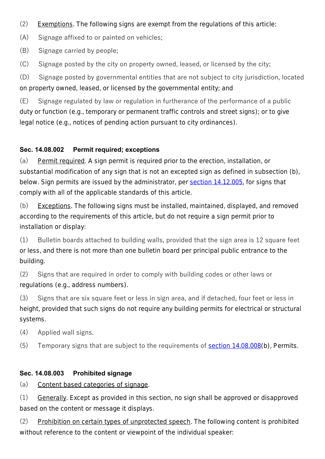- (2) Exemptions. The following signs are exempt from the regulations of this article:
- (A) Signage affixed to or painted on vehicles;
- (B) Signage carried by people;
- (C) Signage posted by the city on property owned, leased, or licensed by the city;

(D) Signage posted by governmental entities that are not subject to city jurisdiction, located on property owned, leased, or licensed by the governmental entity; and

(E) Signage regulated by law or regulation in furtherance of the performance of a public duty or function (e.g., temporary or permanent traffic controls and street signs); or to give legal notice (e.g., notices of pending action pursuant to city ordinances).

## **Sec. 14.08.002 Permit required; exceptions**

(a) Permit required. A sign permit is required prior to the erection, installation, or substantial modification of any sign that is not an excepted sign as defined in subsection (b), below. Sign permits are issued by the administrator, per section 14.12.005, for signs that comply with all of the applicable standards of this article.

(b) Exceptions. The following signs must be installed, maintained, displayed, and removed according to the requirements of this article, but do not require a sign permit prior to installation or display:

(1) Bulletin boards attached to building walls, provided that the sign area is 12 square feet or less, and there is not more than one bulletin board per principal public entrance to the building.

(2) Signs that are required in order to comply with building codes or other laws or regulations (e.g., address numbers).

(3) Signs that are six square feet or less in sign area, and if detached, four feet or less in height, provided that such signs do not require any building permits for electrical or structural systems.

- (4) Applied wall signs.
- (5) Temporary signs that are subject to the requirements of section 14.08.008(b), *Permits*.

## **Sec. 14.08.003 Prohibited signage**

(a) Content based categories of signage.

(1) Generally. Except as provided in this section, no sign shall be approved or disapproved based on the content or message it displays.

(2) Prohibition on certain types of unprotected speech. The following content is prohibited without reference to the content or viewpoint of the individual speaker: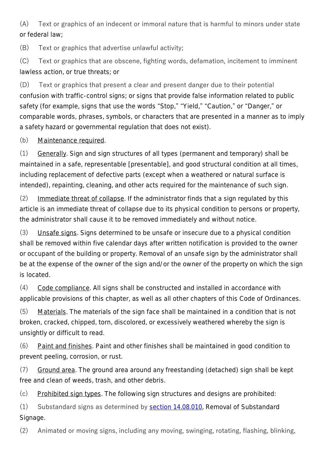(A) Text or graphics of an indecent or immoral nature that is harmful to minors under state or federal law;

(B) Text or graphics that advertise unlawful activity;

(C) Text or graphics that are obscene, fighting words, defamation, incitement to imminent lawless action, or true threats; or

(D) Text or graphics that present a clear and present danger due to their potential confusion with traffic-control signs; or signs that provide false information related to public safety (for example, signs that use the words "Stop," "Yield," "Caution," or "Danger," or comparable words, phrases, symbols, or characters that are presented in a manner as to imply a safety hazard or governmental regulation that does not exist).

## (b) Maintenance required.

(1) Generally. Sign and sign structures of all types (permanent and temporary) shall be maintained in a safe, representable [presentable], and good structural condition at all times, including replacement of defective parts (except when a weathered or natural surface is intended), repainting, cleaning, and other acts required for the maintenance of such sign.

(2) Immediate threat of collapse. If the administrator finds that a sign regulated by this article is an immediate threat of collapse due to its physical condition to persons or property, the administrator shall cause it to be removed immediately and without notice.

(3) Unsafe signs. Signs determined to be unsafe or insecure due to a physical condition shall be removed within five calendar days after written notification is provided to the owner or occupant of the building or property. Removal of an unsafe sign by the administrator shall be at the expense of the owner of the sign and/or the owner of the property on which the sign is located.

(4) Code compliance. All signs shall be constructed and installed in accordance with applicable provisions of this chapter, as well as all other chapters of this Code of Ordinances.

(5) Materials. The materials of the sign face shall be maintained in a condition that is not broken, cracked, chipped, torn, discolored, or excessively weathered whereby the sign is unsightly or difficult to read.

(6) Paint and finishes. Paint and other finishes shall be maintained in good condition to prevent peeling, corrosion, or rust.

(7) Ground area. The ground area around any freestanding (detached) sign shall be kept free and clean of weeds, trash, and other debris.

(c) Prohibited sign types. The following sign structures and designs are prohibited:

(1) Substandard signs as determined by section 14.08.010, *Removal of Substandard Signage*.

(2) Animated or moving signs, including any moving, swinging, rotating, flashing, blinking,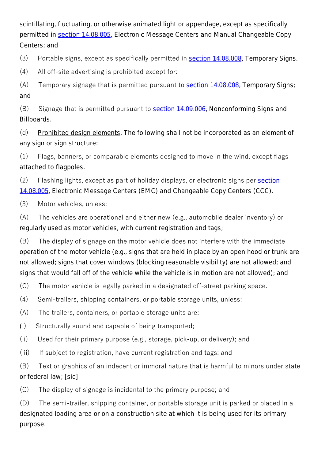scintillating, fluctuating, or otherwise animated light or appendage, except as specifically permitted in section 14.08.005, *Electronic Message Centers and Manual Changeable Copy Centers*; and

(3) Portable signs, except as specifically permitted in section 14.08.008, *Temporary Signs*.

(4) All off-site advertising is prohibited except for:

(A) Temporary signage that is permitted pursuant to section 14.08.008, *Temporary Signs*; and

(B) Signage that is permitted pursuant to section 14.09.006, *Nonconforming Signs and Billboards*.

(d) Prohibited design elements. The following shall not be incorporated as an element of any sign or sign structure:

(1) Flags, banners, or comparable elements designed to move in the wind, except flags attached to flagpoles.

(2) Flashing lights, except as part of holiday displays, or electronic signs per section 14.08.005, *Electronic Message Centers (EMC) and Changeable Copy Centers (CCC)*.

(3) Motor vehicles, unless:

(A) The vehicles are operational and either new (e.g., automobile dealer inventory) or regularly used as motor vehicles, with current registration and tags;

(B) The display of signage on the motor vehicle does not interfere with the immediate operation of the motor vehicle (e.g., signs that are held in place by an open hood or trunk are not allowed; signs that cover windows (blocking reasonable visibility) are not allowed; and signs that would fall off of the vehicle while the vehicle is in motion are not allowed); and

(C) The motor vehicle is legally parked in a designated off-street parking space.

(4) Semi-trailers, shipping containers, or portable storage units, unless:

(A) The trailers, containers, or portable storage units are:

(i) Structurally sound and capable of being transported;

(ii) Used for their primary purpose (e.g., storage, pick-up, or delivery); and

(iii) If subject to registration, have current registration and tags; and

(B) Text or graphics of an indecent or immoral nature that is harmful to minors under state or federal law; [sic]

(C) The display of signage is incidental to the primary purpose; and

(D) The semi-trailer, shipping container, or portable storage unit is parked or placed in a designated loading area or on a construction site at which it is being used for its primary purpose.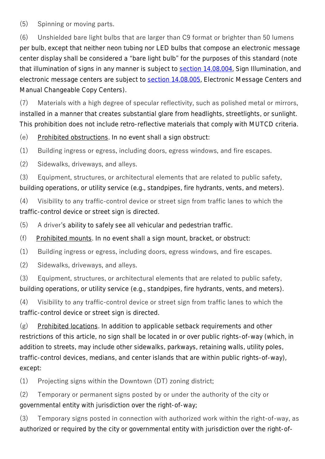(5) Spinning or moving parts.

(6) Unshielded bare light bulbs that are larger than C9 format or brighter than 50 lumens per bulb, except that neither neon tubing nor LED bulbs that compose an electronic message center display shall be considered a "bare light bulb" for the purposes of this standard (note that illumination of signs in any manner is subject to section 14.08.004, *Sign Illumination*, and electronic message centers are subject to section 14.08.005, *Electronic Message Centers and Manual Changeable Copy Centers*).

(7) Materials with a high degree of specular reflectivity, such as polished metal or mirrors, installed in a manner that creates substantial glare from headlights, streetlights, or sunlight. This prohibition does not include retro-reflective materials that comply with MUTCD criteria.

(e) Prohibited obstructions. In no event shall a sign obstruct:

(1) Building ingress or egress, including doors, egress windows, and fire escapes.

(2) Sidewalks, driveways, and alleys.

(3) Equipment, structures, or architectural elements that are related to public safety, building operations, or utility service (e.g., standpipes, fire hydrants, vents, and meters).

(4) Visibility to any traffic-control device or street sign from traffic lanes to which the traffic-control device or street sign is directed.

(5) A driver's ability to safely see all vehicular and pedestrian traffic.

(f) Prohibited mounts. In no event shall a sign mount, bracket, or obstruct:

(1) Building ingress or egress, including doors, egress windows, and fire escapes.

(2) Sidewalks, driveways, and alleys.

(3) Equipment, structures, or architectural elements that are related to public safety, building operations, or utility service (e.g., standpipes, fire hydrants, vents, and meters).

(4) Visibility to any traffic-control device or street sign from traffic lanes to which the traffic-control device or street sign is directed.

 $(g)$  Prohibited locations. In addition to applicable setback requirements and other restrictions of this article, no sign shall be located in or over public rights-of-way (which, in addition to streets, may include other sidewalks, parkways, retaining walls, utility poles, traffic-control devices, medians, and center islands that are within public rights-of-way), except:

(1) Projecting signs within the Downtown (DT) zoning district;

(2) Temporary or permanent signs posted by or under the authority of the city or governmental entity with jurisdiction over the right-of-way;

(3) Temporary signs posted in connection with authorized work within the right-of-way, as authorized or required by the city or governmental entity with jurisdiction over the right-of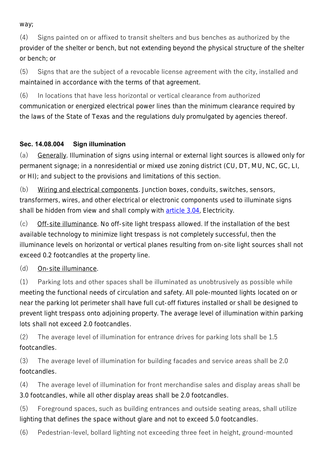way;

(4) Signs painted on or affixed to transit shelters and bus benches as authorized by the provider of the shelter or bench, but not extending beyond the physical structure of the shelter or bench; or

(5) Signs that are the subject of a revocable license agreement with the city, installed and maintained in accordance with the terms of that agreement.

(6) In locations that have less horizontal or vertical clearance from authorized communication or energized electrical power lines than the minimum clearance required by the laws of the State of Texas and the regulations duly promulgated by agencies thereof.

# **Sec. 14.08.004 Sign illumination**

(a) Generally. Illumination of signs using internal or external light sources is allowed only for permanent signage; in a nonresidential or mixed use zoning district (CU, DT, MU, NC, GC, LI, or HI); and subject to the provisions and limitations of this section.

(b) Wiring and electrical components. Junction boxes, conduits, switches, sensors, transformers, wires, and other electrical or electronic components used to illuminate signs shall be hidden from view and shall comply with article 3.04, *Electricity*.

(c) Off-site illuminance. No off-site light trespass allowed. If the installation of the best available technology to minimize light trespass is not completely successful, then the illuminance levels on horizontal or vertical planes resulting from on-site light sources shall not exceed 0.2 footcandles at the property line.

# (d) On-site illuminance.

(1) Parking lots and other spaces shall be illuminated as unobtrusively as possible while meeting the functional needs of circulation and safety. All pole-mounted lights located on or near the parking lot perimeter shall have full cut-off fixtures installed or shall be designed to prevent light trespass onto adjoining property. The average level of illumination within parking lots shall not exceed 2.0 footcandles.

(2) The average level of illumination for entrance drives for parking lots shall be 1.5 footcandles.

(3) The average level of illumination for building facades and service areas shall be 2.0 footcandles.

(4) The average level of illumination for front merchandise sales and display areas shall be 3.0 footcandles, while all other display areas shall be 2.0 footcandles.

(5) Foreground spaces, such as building entrances and outside seating areas, shall utilize lighting that defines the space without glare and not to exceed 5.0 footcandles.

(6) Pedestrian-level, bollard lighting not exceeding three feet in height, ground-mounted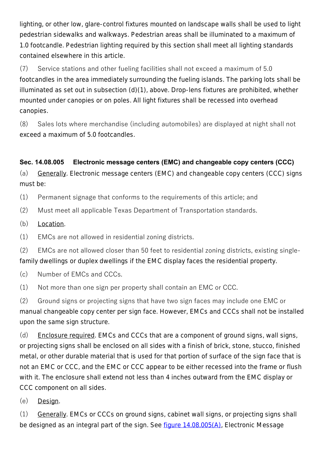lighting, or other low, glare-control fixtures mounted on landscape walls shall be used to light pedestrian sidewalks and walkways. Pedestrian areas shall be illuminated to a maximum of 1.0 footcandle. Pedestrian lighting required by this section shall meet all lighting standards contained elsewhere in this article.

(7) Service stations and other fueling facilities shall not exceed a maximum of 5.0 footcandles in the area immediately surrounding the fueling islands. The parking lots shall be illuminated as set out in subsection (d)(1), above. Drop-lens fixtures are prohibited, whether mounted under canopies or on poles. All light fixtures shall be recessed into overhead canopies.

(8) Sales lots where merchandise (including automobiles) are displayed at night shall not exceed a maximum of 5.0 footcandles.

# **Sec. 14.08.005 Electronic message centers (EMC) and changeable copy centers (CCC)**

(a) Generally. Electronic message centers (EMC) and changeable copy centers (CCC) signs must be:

(1) Permanent signage that conforms to the requirements of this article; and

- (2) Must meet all applicable Texas Department of Transportation standards.
- (b) Location.
- (1) EMCs are not allowed in residential zoning districts.

(2) EMCs are not allowed closer than 50 feet to residential zoning districts, existing singlefamily dwellings or duplex dwellings if the EMC display faces the residential property.

(c) Number of EMCs and CCCs.

(1) Not more than one sign per property shall contain an EMC or CCC.

(2) Ground signs or projecting signs that have two sign faces may include one EMC or manual changeable copy center per sign face. However, EMCs and CCCs shall not be installed upon the same sign structure.

(d) Enclosure required. EMCs and CCCs that are a component of ground signs, wall signs, or projecting signs shall be enclosed on all sides with a finish of brick, stone, stucco, finished metal, or other durable material that is used for that portion of surface of the sign face that is not an EMC or CCC, and the EMC or CCC appear to be either recessed into the frame or flush with it. The enclosure shall extend not less than 4 inches outward from the EMC display or CCC component on all sides.

(e) Design.

(1) Generally. EMCs or CCCs on ground signs, cabinet wall signs, or projecting signs shall be designed as an integral part of the sign. See figure 14.08.005(A), *Electronic Message*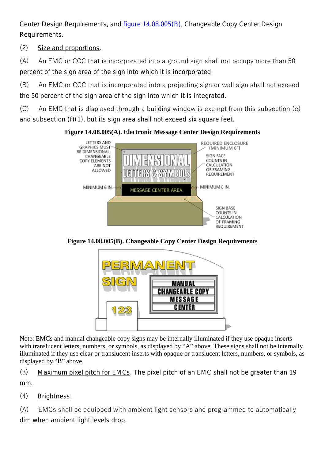*Center Design Requirements*, and figure 14.08.005(B), *Changeable Copy Center Design Requirements*.

(2) Size and proportions.

(A) An EMC or CCC that is incorporated into a ground sign shall not occupy more than 50 percent of the sign area of the sign into which it is incorporated.

(B) An EMC or CCC that is incorporated into a projecting sign or wall sign shall not exceed the 50 percent of the sign area of the sign into which it is integrated.

(C) An EMC that is displayed through a building window is exempt from this subsection (e) and subsection (f)(1), but its sign area shall not exceed six square feet.

**Figure 14.08.005(A). Electronic Message Center Design Requirements**



**Figure 14.08.005(B). Changeable Copy Center Design Requirements**



Note: EMCs and manual changeable copy signs may be internally illuminated if they use opaque inserts with translucent letters, numbers, or symbols, as displayed by "A" above. These signs shall not be internally illuminated if they use clear or translucent inserts with opaque or translucent letters, numbers, or symbols, as displayed by "B" above.

(3) Maximum pixel pitch for EMCs. The pixel pitch of an EMC shall not be greater than 19 mm.

(4) Brightness.

(A) EMCs shall be equipped with ambient light sensors and programmed to automatically dim when ambient light levels drop.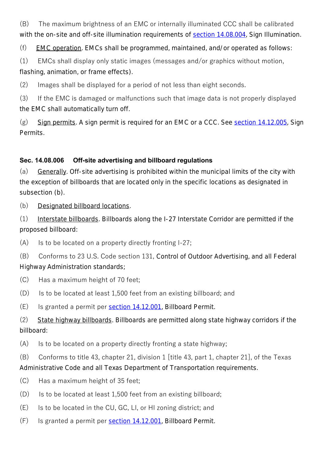(B) The maximum brightness of an EMC or internally illuminated CCC shall be calibrated with the on-site and off-site illumination requirements of section 14.08.004, *Sign Illumination*.

(f) EMC operation. EMCs shall be programmed, maintained, and/or operated as follows:

(1) EMCs shall display only static images (messages and/or graphics without motion, flashing, animation, or frame effects).

(2) Images shall be displayed for a period of not less than eight seconds.

(3) If the EMC is damaged or malfunctions such that image data is not properly displayed the EMC shall automatically turn off.

(g) Sign permits. A sign permit is required for an EMC or a CCC. See section 14.12.005, *Sign Permits*.

# **Sec. 14.08.006 Off-site advertising and billboard regulations**

(a) Generally. Off-site advertising is prohibited within the municipal limits of the city with the exception of billboards that are located only in the specific locations as designated in subsection (b).

(b) Designated billboard locations.

(1) Interstate billboards. Billboards along the I-27 Interstate Corridor are permitted if the proposed billboard:

(A) Is to be located on a property directly fronting I-27;

(B) Conforms to 23 U.S. Code section 131, *Control of Outdoor Advertising*, and all Federal Highway Administration standards;

- (C) Has a maximum height of 70 feet;
- (D) Is to be located at least 1,500 feet from an existing billboard; and
- (E) Is granted a permit per section 14.12.001, *Billboard Permit*.

(2) State highway billboards. Billboards are permitted along state highway corridors if the billboard:

(A) Is to be located on a property directly fronting a state highway;

 $(B)$  Conforms to title 43, chapter 21, division 1 [title 43, part 1, chapter 21], of the Texas Administrative Code and all Texas Department of Transportation requirements.

- (C) Has a maximum height of 35 feet;
- (D) Is to be located at least 1,500 feet from an existing billboard;
- (E) Is to be located in the CU, GC, LI, or HI zoning district; and
- (F) Is granted a permit per section 14.12.001, *Billboard Permit*.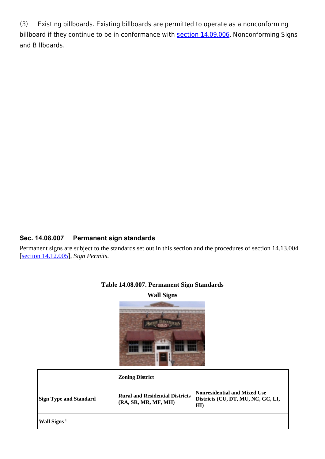(3) Existing billboards. Existing billboards are permitted to operate as a nonconforming billboard if they continue to be in conformance with section 14.09.006, *Nonconforming Signs and Billboards*.

#### **Sec. 14.08.007 Permanent sign standards**

Permanent signs are subject to the standards set out in this section and the procedures of section 14.13.004 [section 14.12.005], *Sign Permits*.



|                               | <b>Zoning District</b>                                         |                                                                                    |
|-------------------------------|----------------------------------------------------------------|------------------------------------------------------------------------------------|
| <b>Sign Type and Standard</b> | <b>Rural and Residential Districts</b><br>(RA, SR, MR, MF, MH) | Nonresidential and Mixed Use<br>Districts (CU, DT, MU, NC, GC, LI,<br>$\mathbf{H}$ |
| Wall Signs <sup>1</sup>       |                                                                |                                                                                    |

#### **Table 14.08.007. Permanent Sign Standards**

**Wall Signs**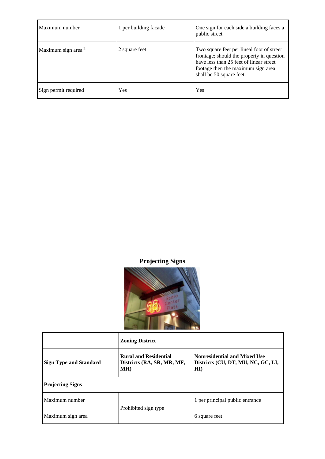| Maximum number        | 1 per building facade | One sign for each side a building faces a<br>public street                                                                                                                                          |
|-----------------------|-----------------------|-----------------------------------------------------------------------------------------------------------------------------------------------------------------------------------------------------|
| Maximum sign area $2$ | 2 square feet         | Two square feet per lineal foot of street<br>frontage; should the property in question<br>have less than 25 feet of linear street<br>footage then the maximum sign area<br>shall be 50 square feet. |
| Sign permit required  | Yes                   | Yes                                                                                                                                                                                                 |

**Projecting Signs**



|                               | <b>Zoning District</b>                                            |                                                                                  |
|-------------------------------|-------------------------------------------------------------------|----------------------------------------------------------------------------------|
| <b>Sign Type and Standard</b> | <b>Rural and Residential</b><br>Districts (RA, SR, MR, MF,<br>MH) | <b>Nonresidential and Mixed Use</b><br>Districts (CU, DT, MU, NC, GC, LI,<br>HI) |
| <b>Projecting Signs</b>       |                                                                   |                                                                                  |
| Maximum number                |                                                                   | 1 per principal public entrance                                                  |
| Maximum sign area             | Prohibited sign type                                              | 6 square feet                                                                    |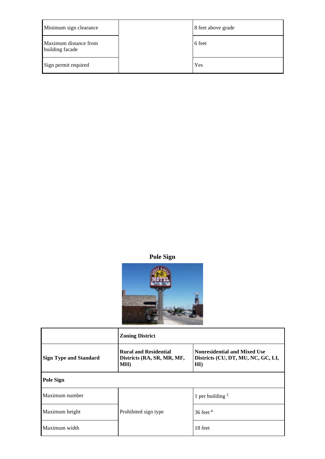| Minimum sign clearance                   | 8 feet above grade |
|------------------------------------------|--------------------|
| Maximum distance from<br>building facade | 6 feet             |
| Sign permit required                     | Yes                |

**Pole Sign**



|                               | <b>Zoning District</b>                                            |                                                                                  |
|-------------------------------|-------------------------------------------------------------------|----------------------------------------------------------------------------------|
| <b>Sign Type and Standard</b> | <b>Rural and Residential</b><br>Districts (RA, SR, MR, MF,<br>MH) | <b>Nonresidential and Mixed Use</b><br>Districts (CU, DT, MU, NC, GC, LI,<br>HI) |
| <b>Pole Sign</b>              |                                                                   |                                                                                  |
| Maximum number                |                                                                   | 1 per building $3$                                                               |
| Maximum height                | Prohibited sign type                                              | $36$ feet $4$                                                                    |
| Maximum width                 |                                                                   | 18 feet                                                                          |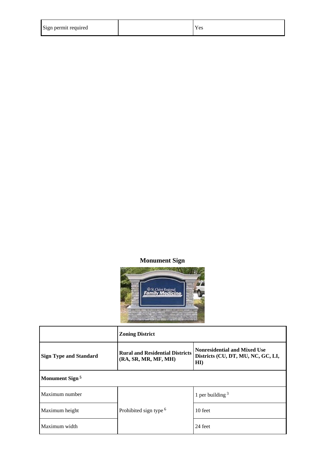| Sign permit required |  | Υes |
|----------------------|--|-----|
|----------------------|--|-----|

# **Monument Sign**



|                               | <b>Zoning District</b>                                         |                                                                                  |
|-------------------------------|----------------------------------------------------------------|----------------------------------------------------------------------------------|
| <b>Sign Type and Standard</b> | <b>Rural and Residential Districts</b><br>(RA, SR, MR, MF, MH) | <b>Nonresidential and Mixed Use</b><br>Districts (CU, DT, MU, NC, GC, LI,<br>HI) |
| Monument Sign <sup>5</sup>    |                                                                |                                                                                  |
| Maximum number                |                                                                | 1 per building $3$                                                               |
| Maximum height                | Prohibited sign type <sup>6</sup>                              | 10 feet                                                                          |
| Maximum width                 |                                                                | 24 feet                                                                          |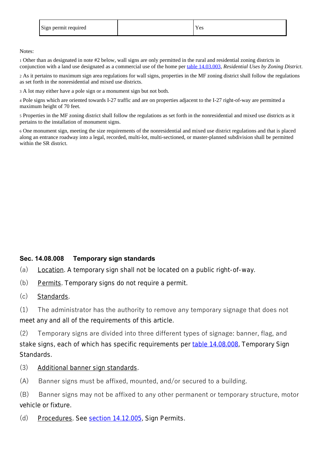| Sign permit required |  | Yes |
|----------------------|--|-----|
|----------------------|--|-----|

Notes:

1 Other than as designated in note #2 below, wall signs are only permitted in the rural and residential zoning districts in conjunction with a land use designated as a commercial use of the home per table 14.03.003, *Residential Uses by Zoning District*.

2 As it pertains to maximum sign area regulations for wall signs, properties in the MF zoning district shall follow the regulations as set forth in the nonresidential and mixed use districts.

3 A lot may either have a pole sign or a monument sign but not both.

4 Pole signs which are oriented towards I-27 traffic and are on properties adjacent to the I-27 right-of-way are permitted a maximum height of 70 feet.

5 Properties in the MF zoning district shall follow the regulations as set forth in the nonresidential and mixed use districts as it pertains to the installation of monument signs.

6 One monument sign, meeting the size requirements of the nonresidential and mixed use district regulations and that is placed along an entrance roadway into a legal, recorded, multi-lot, multi-sectioned, or master-planned subdivision shall be permitted within the SR district.

#### **Sec. 14.08.008 Temporary sign standards**

- (a) Location. A temporary sign shall not be located on a public right-of-way.
- (b) Permits. Temporary signs do not require a permit.
- (c) Standards.

(1) The administrator has the authority to remove any temporary signage that does not meet any and all of the requirements of this article.

(2) Temporary signs are divided into three different types of signage: banner, flag, and stake signs, each of which has specific requirements per table 14.08.008, *Temporary Sign Standards*.

- (3) Additional banner sign standards.
- (A) Banner signs must be affixed, mounted, and/or secured to a building.

(B) Banner signs may not be affixed to any other permanent or temporary structure, motor vehicle or fixture.

(d) Procedures. See section 14.12.005, *Sign Permits*.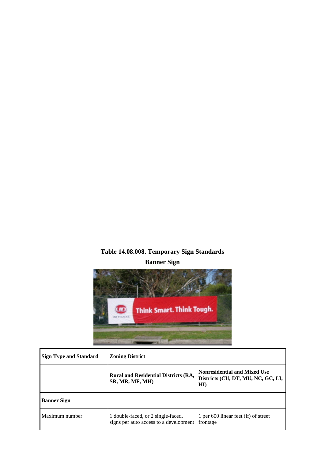# **Table 14.08.008. Temporary Sign Standards Banner Sign**



| <b>Sign Type and Standard</b> | <b>Zoning District</b>                                                       |                                                                                  |
|-------------------------------|------------------------------------------------------------------------------|----------------------------------------------------------------------------------|
|                               | <b>Rural and Residential Districts (RA,</b><br>SR, MR, MF, MH)               | <b>Nonresidential and Mixed Use</b><br>Districts (CU, DT, MU, NC, GC, LI,<br>H I |
| <b>Banner Sign</b>            |                                                                              |                                                                                  |
| Maximum number                | 1 double-faced, or 2 single-faced,<br>signs per auto access to a development | 1 per 600 linear feet (lf) of street<br>frontage                                 |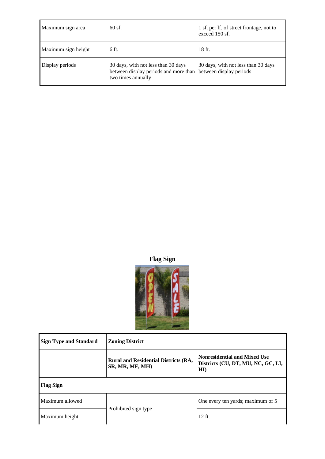| Maximum sign area   | $60$ sf.                                                                                           | 1 sf. per lf. of street frontage, not to<br>exceed 150 sf.     |
|---------------------|----------------------------------------------------------------------------------------------------|----------------------------------------------------------------|
| Maximum sign height | 6 ft.                                                                                              | 18 ft.                                                         |
| Display periods     | 30 days, with not less than 30 days<br>between display periods and more than<br>two times annually | 30 days, with not less than 30 days<br>between display periods |

**Flag Sign**



| <b>Sign Type and Standard</b> | <b>Zoning District</b>                                         |                                                                                  |
|-------------------------------|----------------------------------------------------------------|----------------------------------------------------------------------------------|
|                               | <b>Rural and Residential Districts (RA,</b><br>SR, MR, MF, MH) | <b>Nonresidential and Mixed Use</b><br>Districts (CU, DT, MU, NC, GC, LI,<br>HI) |
| <b>Flag Sign</b>              |                                                                |                                                                                  |
| Maximum allowed               |                                                                | One every ten yards; maximum of 5                                                |
| Maximum height                | Prohibited sign type                                           | $12$ ft.                                                                         |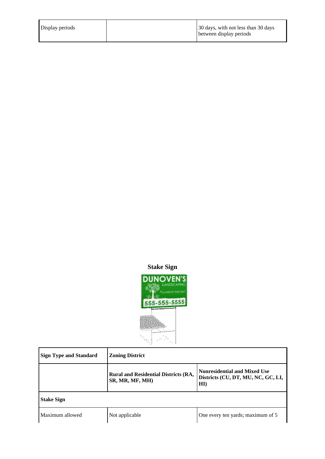| Display periods | 30 days, with not less than 30 days |
|-----------------|-------------------------------------|
|                 | between display periods             |

# **Stake Sign**



| <b>Sign Type and Standard</b> | <b>Zoning District</b>                                         |                                                                                  |  |
|-------------------------------|----------------------------------------------------------------|----------------------------------------------------------------------------------|--|
|                               | <b>Rural and Residential Districts (RA,</b><br>SR, MR, MF, MH) | <b>Nonresidential and Mixed Use</b><br>Districts (CU, DT, MU, NC, GC, LI,<br>HI) |  |
| <b>Stake Sign</b>             |                                                                |                                                                                  |  |
| Maximum allowed               | Not applicable                                                 | One every ten yards; maximum of 5                                                |  |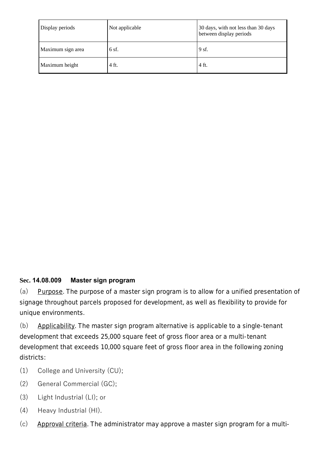| Display periods   | Not applicable | 30 days, with not less than 30 days<br>between display periods |
|-------------------|----------------|----------------------------------------------------------------|
| Maximum sign area | $6$ sf.        | 9 sf.                                                          |
| Maximum height    | 4 ft.          | 4 ft.                                                          |

## **Sec. 14.08.009 Master sign program**

(a) Purpose. The purpose of a master sign program is to allow for a unified presentation of signage throughout parcels proposed for development, as well as flexibility to provide for unique environments.

(b) Applicability. The master sign program alternative is applicable to a single-tenant development that exceeds 25,000 square feet of gross floor area or a multi-tenant development that exceeds 10,000 square feet of gross floor area in the following zoning districts:

- (1) College and University (CU);
- (2) General Commercial (GC);
- (3) Light Industrial (LI); or
- (4) Heavy Industrial (HI).
- (c) Approval criteria. The administrator may approve a master sign program for a multi-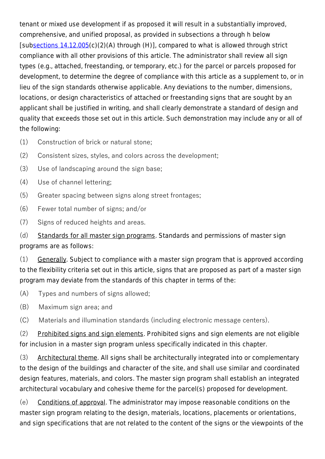tenant or mixed use development if as proposed it will result in a substantially improved, comprehensive, and unified proposal, as provided in subsections a through h below [subsections 14.12.005(c)(2)(A) through (H)], compared to what is allowed through strict compliance with all other provisions of this article. The administrator shall review all sign types (e.g., attached, freestanding, or temporary, etc.) for the parcel or parcels proposed for development, to determine the degree of compliance with this article as a supplement to, or in lieu of the sign standards otherwise applicable. Any deviations to the number, dimensions, locations, or design characteristics of attached or freestanding signs that are sought by an applicant shall be justified in writing, and shall clearly demonstrate a standard of design and quality that exceeds those set out in this article. Such demonstration may include any or all of the following:

- (1) Construction of brick or natural stone;
- (2) Consistent sizes, styles, and colors across the development;
- (3) Use of landscaping around the sign base;
- (4) Use of channel lettering;
- (5) Greater spacing between signs along street frontages;
- (6) Fewer total number of signs; and/or
- (7) Signs of reduced heights and areas.

(d) Standards for all master sign programs. Standards and permissions of master sign programs are as follows:

(1) Generally. Subject to compliance with a master sign program that is approved according to the flexibility criteria set out in this article, signs that are proposed as part of a master sign program may deviate from the standards of this chapter in terms of the:

- (A) Types and numbers of signs allowed;
- (B) Maximum sign area; and

(C) Materials and illumination standards (including electronic message centers).

(2) Prohibited signs and sign elements. Prohibited signs and sign elements are not eligible for inclusion in a master sign program unless specifically indicated in this chapter.

(3) Architectural theme. All signs shall be architecturally integrated into or complementary to the design of the buildings and character of the site, and shall use similar and coordinated design features, materials, and colors. The master sign program shall establish an integrated architectural vocabulary and cohesive theme for the parcel(s) proposed for development.

(e) Conditions of approval. The administrator may impose reasonable conditions on the master sign program relating to the design, materials, locations, placements or orientations, and sign specifications that are not related to the content of the signs or the viewpoints of the